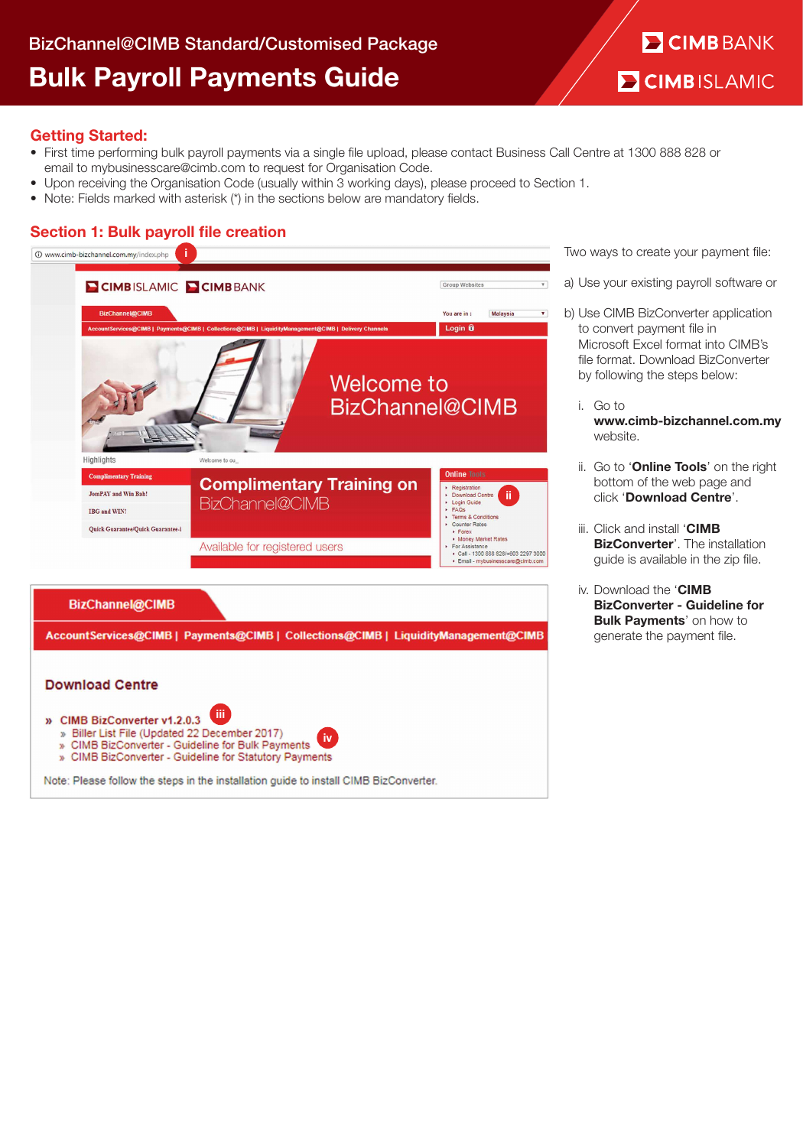# **E CIMB BANK E CIMBISLAMIC**

## Getting Started:

- First time performing bulk payroll payments via a single file upload, please contact Business Call Centre at 1300 888 828 or email to mybusinesscare@cimb.com to request for Organisation Code.
- Upon receiving the Organisation Code (usually within 3 working days), please proceed to Section 1.
- Note: Fields marked with asterisk (\*) in the sections below are mandatory fields.

## Section 1: Bulk payroll file creation



Two ways to create your payment file:

- a) Use your existing payroll software or
- b) Use CIMB BizConverter application to convert payment file in Microsoft Excel format into CIMB's file format. Download BizConverter by following the steps below:
	- i. Go to www.cimb-bizchannel.com.my website.
	- ii. Go to 'Online Tools' on the right bottom of the web page and click 'Download Centre'.
	- iii. Click and install 'CIMB **BizConverter'.** The installation guide is available in the zip file.
	- iv. Download the 'CIMB BizConverter - Guideline for **Bulk Payments' on how to** generate the payment file.